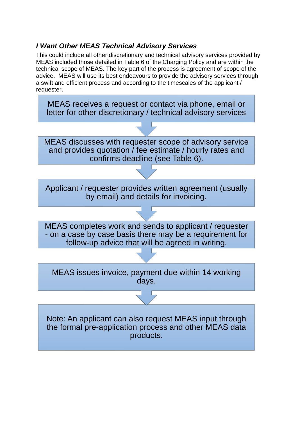## *I Want Other MEAS Technical Advisory Services*

This could include all other discretionary and technical advisory services provided by MEAS included those detailed in Table 6 of the Charging Policy and are within the technical scope of MEAS. The key part of the process is agreement of scope of the advice. MEAS will use its best endeavours to provide the advisory services through a swift and efficient process and according to the timescales of the applicant / requester.

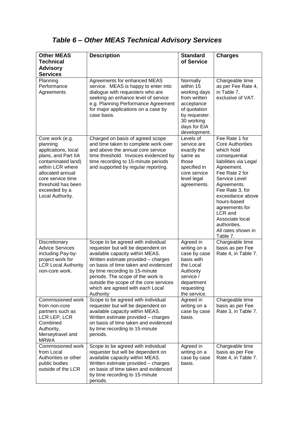## *Table 6 – Other MEAS Technical Advisory Services*

| <b>Other MEAS</b><br><b>Technical</b>                                                                                                                                                                                   | <b>Description</b>                                                                                                                                                                                                                                                                                                                                           | <b>Standard</b><br>of Service                                                                                                                      | <b>Charges</b>                                                                                                                                                                                                                                                                                                            |
|-------------------------------------------------------------------------------------------------------------------------------------------------------------------------------------------------------------------------|--------------------------------------------------------------------------------------------------------------------------------------------------------------------------------------------------------------------------------------------------------------------------------------------------------------------------------------------------------------|----------------------------------------------------------------------------------------------------------------------------------------------------|---------------------------------------------------------------------------------------------------------------------------------------------------------------------------------------------------------------------------------------------------------------------------------------------------------------------------|
| <b>Advisory</b><br><b>Services</b>                                                                                                                                                                                      |                                                                                                                                                                                                                                                                                                                                                              |                                                                                                                                                    |                                                                                                                                                                                                                                                                                                                           |
| Planning<br>Performance<br>Agreements                                                                                                                                                                                   | Agreements for enhanced MEAS<br>service. MEAS is happy to enter into<br>dialogue with requesters who are<br>seeking an enhance level of service<br>e.g. Planning Performance Agreement<br>for major applications on a case by<br>case basis.                                                                                                                 | Normally<br>within 15<br>working days<br>from written<br>acceptance<br>of quotation<br>by requester.<br>30 working<br>days for EIA<br>development. | Chargeable time<br>as per Fee Rate 4,<br>in Table 7,<br>exclusive of VAT.                                                                                                                                                                                                                                                 |
| Core work (e.g.<br>planning<br>applications, local<br>plans, and Part IIA<br>contaminated land)<br>within LCR where<br>allocated annual<br>core service time<br>threshold has been<br>exceeded by a<br>Local Authority. | Charged on basis of agreed scope<br>and time taken to complete work over<br>and above the annual core service<br>time threshold. Invoices evidenced by<br>time recording to 15-minute periods<br>and supported by regular reporting.                                                                                                                         | Levels of<br>service are<br>exactly the<br>same as<br>those<br>specified in<br>core service<br>level legal<br>agreements.                          | Fee Rate 1 for<br><b>Core Authorities</b><br>which hold<br>consequential<br>liabilities via Legal<br>Agreement.<br>Fee Rate 2 for<br>Service Level<br>Agreements.<br>Fee Rate 3, for<br>exceedance above<br>hours-based<br>agreements for<br>LCR and<br>Associate local<br>authorities.<br>All rates shown in<br>Table 7. |
| Discretionary<br><b>Advice Services</b><br>including Pay-by-<br>project work for<br><b>LCR Local Authority</b><br>non-core work.                                                                                        | Scope to be agreed with individual<br>requester but will be dependent on<br>available capacity within MEAS.<br>Written estimate provided - charges<br>on basis of time taken and evidenced<br>by time recording to 15-minute<br>periods. The scope of the work is<br>outside the scope of the core services<br>which are agreed with each Local<br>Authority | Agreed in<br>writing on a<br>case by case<br>basis with<br>the Local<br>Authority<br>service /<br>department<br>requesting<br>the service.         | Chargeable time<br>basis as per Fee<br>Rate 4, in Table 7.                                                                                                                                                                                                                                                                |
| Commissioned work<br>from non-core<br>partners such as<br>LCR LEP, LCR<br>Combined<br>Authority,<br>Merseytravel and<br><b>MRWA</b>                                                                                     | Scope to be agreed with individual<br>requester but will be dependent on<br>available capacity within MEAS.<br>Written estimate provided - charges<br>on basis of time taken and evidenced<br>by time recording to 15-minute<br>periods.                                                                                                                     | Agreed in<br>writing on a<br>case by case<br>basis.                                                                                                | Chargeable time<br>basis as per Fee<br>Rate 3, in Table 7.                                                                                                                                                                                                                                                                |
| Commissioned work<br>from Local<br>Authorities or other<br>public bodies<br>outside of the LCR                                                                                                                          | Scope to be agreed with individual<br>requester but will be dependent on<br>available capacity within MEAS.<br>Written estimate provided - charges<br>on basis of time taken and evidenced<br>by time recording to 15-minute<br>periods.                                                                                                                     | Agreed in<br>writing on a<br>case by case<br>basis.                                                                                                | Chargeable time<br>basis as per Fee<br>Rate 4, in Table 7.                                                                                                                                                                                                                                                                |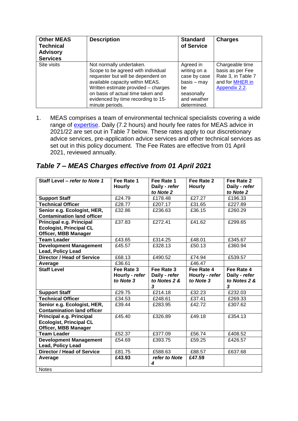| <b>Other MEAS</b><br><b>Technical</b><br><b>Advisory</b><br><b>Services</b> | <b>Description</b>                                                                                                                                                                                                                                                           | <b>Standard</b><br>of Service                                                                                | <b>Charges</b>                                                                                |
|-----------------------------------------------------------------------------|------------------------------------------------------------------------------------------------------------------------------------------------------------------------------------------------------------------------------------------------------------------------------|--------------------------------------------------------------------------------------------------------------|-----------------------------------------------------------------------------------------------|
| Site visits                                                                 | Not normally undertaken.<br>Scope to be agreed with individual<br>requester but will be dependent on<br>available capacity within MEAS.<br>Written estimate provided - charges<br>on basis of actual time taken and<br>evidenced by time recording to 15-<br>minute periods. | Agreed in<br>writing on a<br>case by case<br>$basis - may$<br>be<br>seasonally<br>and weather<br>determined. | Chargeable time<br>basis as per Fee<br>Rate 3, in Table 7<br>and for MHER in<br>Appendix 2.2. |

1. MEAS comprises a team of environmental technical specialists covering a wide range of [expertise.](http://www.meas.org.uk/1072) Daily (7.2 hours) and hourly fee rates for MEAS advice in 2021/22 are set out in Table 7 below. These rates apply to our discretionary advice services, pre-application advice services and other technical services as set out in this policy document. The Fee Rates are effective from 01 April 2021, reviewed annually.

## *Table 7 – MEAS Charges effective from 01 April 2021*

| Staff Level - refer to Note 1                                                             | Fee Rate 1<br><b>Hourly</b>               | Fee Rate 1<br>Daily - refer<br>to Note 2         | Fee Rate 2<br><b>Hourly</b>               | Fee Rate 2<br>Daily - refer<br>to Note 2         |
|-------------------------------------------------------------------------------------------|-------------------------------------------|--------------------------------------------------|-------------------------------------------|--------------------------------------------------|
| <b>Support Staff</b>                                                                      | £24.79                                    | £178.48                                          | £27.27                                    | £196.33                                          |
| <b>Technical Officer</b>                                                                  | £28.77                                    | £207.17                                          | £31.65                                    | £227.89                                          |
| Senior e.g. Ecologist, HER,<br><b>Contamination land officer</b>                          | £32.86                                    | £236.63                                          | £36.15                                    | £260.29                                          |
| Principal e.g. Principal<br><b>Ecologist, Principal CL</b><br><b>Officer, MBB Manager</b> | £37.83                                    | £272.41                                          | £41.62                                    | £299.65                                          |
| <b>Team Leader</b>                                                                        | £43.65                                    | £314.25                                          | £48.01                                    | £345.67                                          |
| <b>Development Management</b><br>Lead, Policy Lead                                        | £45.57                                    | £328.13                                          | £50.13                                    | £360.94                                          |
| <b>Director / Head of Service</b>                                                         | £68.13                                    | £490.52                                          | £74.94                                    | £539.57                                          |
| Average                                                                                   | £36.61                                    |                                                  | £46.47                                    |                                                  |
| <b>Staff Level</b>                                                                        | Fee Rate 3<br>Hourly - refer<br>to Note 3 | Fee Rate 3<br>Daily - refer<br>to Notes 2 &<br>3 | Fee Rate 4<br>Hourly - refer<br>to Note 3 | Fee Rate 4<br>Daily - refer<br>to Notes 2 &<br>3 |
| <b>Support Staff</b>                                                                      | £29.75                                    | £214.18                                          | £32.23                                    | £232.03                                          |
| <b>Technical Officer</b>                                                                  | £34.53                                    | £248.61                                          | £37.41                                    | £269.33                                          |
| Senior e.g. Ecologist, HER,<br><b>Contamination land officer</b>                          | £39.44                                    | £283.95                                          | £42.72                                    | £307.62                                          |
| Principal e.g. Principal<br><b>Ecologist, Principal CL</b><br><b>Officer, MBB Manager</b> | £45.40                                    | £326.89                                          | £49.18                                    | £354.13                                          |
| <b>Team Leader</b>                                                                        | £52.37                                    | £377.09                                          | £56.74                                    | £408.52                                          |
| <b>Development Management</b><br>Lead, Policy Lead                                        | £54.69                                    | £393.75                                          | £59.25                                    | £426.57                                          |
| <b>Director / Head of Service</b>                                                         | £81.75                                    | £588.63                                          | £88.57                                    | £637.68                                          |
| Average                                                                                   | £43.93                                    | refer to Note<br>4                               | £47.59                                    |                                                  |
| <b>Notes</b>                                                                              |                                           |                                                  |                                           |                                                  |